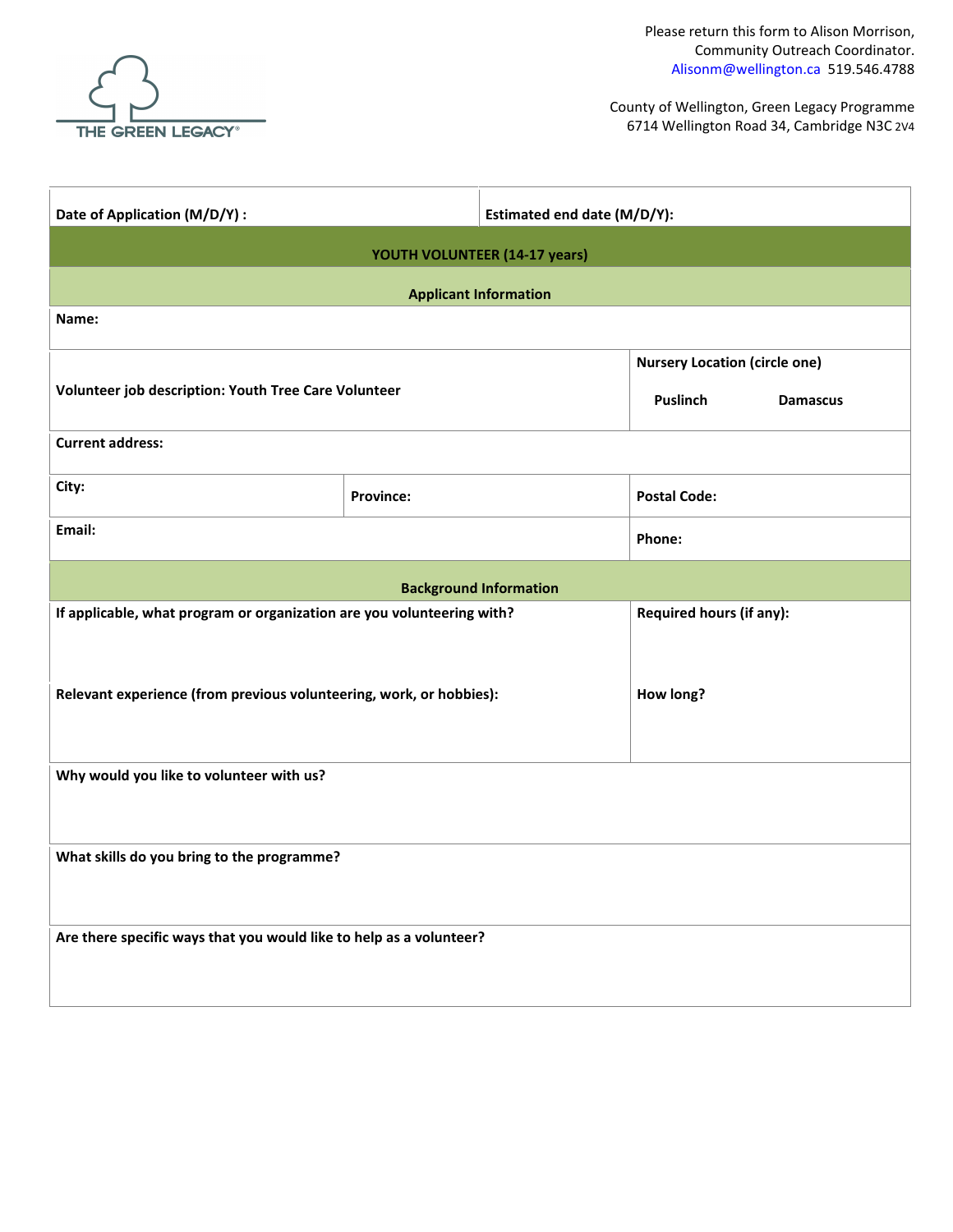

County of Wellington Green Legacy Programme 6714 Wellington Road 34 Cambridge N N3C 2V4

| Date of Application (M/D/Y) :                                          |                                                                            | Estimated end date (M/D/Y):   |                     |  |  |  |  |  |  |  |  |  |
|------------------------------------------------------------------------|----------------------------------------------------------------------------|-------------------------------|---------------------|--|--|--|--|--|--|--|--|--|
| YOUTH VOLUNTEER (13-17 years)                                          |                                                                            |                               |                     |  |  |  |  |  |  |  |  |  |
| <b>Applicant Information</b>                                           |                                                                            |                               |                     |  |  |  |  |  |  |  |  |  |
| Name:                                                                  |                                                                            |                               |                     |  |  |  |  |  |  |  |  |  |
| Volunteer job description: Youth Tree Care Volunteer                   | <b>Nursery Location (circle one)</b><br><b>Puslinch</b><br><b>Damascus</b> |                               |                     |  |  |  |  |  |  |  |  |  |
| <b>Current address:</b>                                                |                                                                            |                               |                     |  |  |  |  |  |  |  |  |  |
| City:                                                                  | <b>Province:</b>                                                           |                               | <b>Postal Code:</b> |  |  |  |  |  |  |  |  |  |
| Email:                                                                 |                                                                            | Phone:                        |                     |  |  |  |  |  |  |  |  |  |
|                                                                        |                                                                            | <b>Background Information</b> |                     |  |  |  |  |  |  |  |  |  |
| If applicable, what program or organization are you volunteering with? | Required hours (if any):                                                   |                               |                     |  |  |  |  |  |  |  |  |  |
| Relevant experience (from previous volunteering, work, or hobbies):    | How long?                                                                  |                               |                     |  |  |  |  |  |  |  |  |  |
| Why would you like to volunteer with us?                               |                                                                            |                               |                     |  |  |  |  |  |  |  |  |  |
| What skills do you bring to the programme?                             |                                                                            |                               |                     |  |  |  |  |  |  |  |  |  |
| Are there specific ways that you would like to help as a volunteer?    |                                                                            |                               |                     |  |  |  |  |  |  |  |  |  |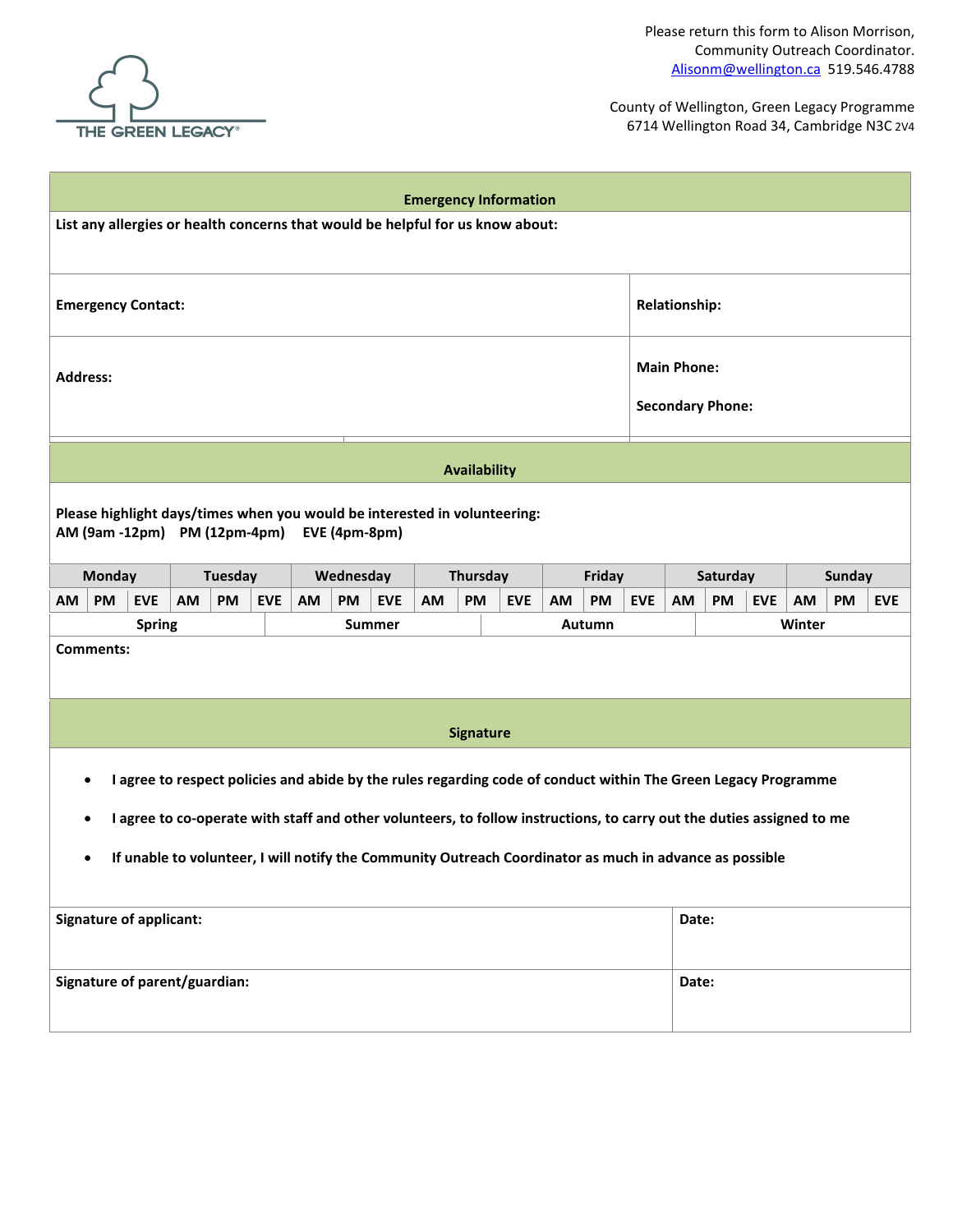

THE GREEN LEGACY<sup>®</sup><br>County of Wellington.ca<br>County of Wellington Care County of Wellington Care County of Wellington.ca Green Legacy Programme 6714 Wellington Road 34 RR 22 Cambridge, ON N3C 2V4

| <b>Emergency Information</b>                                                                                               |                                                                                                                       |            |    |                  |           |                     |            |    |           |            |                           |                                               |            |    |    |            |  |  |  |
|----------------------------------------------------------------------------------------------------------------------------|-----------------------------------------------------------------------------------------------------------------------|------------|----|------------------|-----------|---------------------|------------|----|-----------|------------|---------------------------|-----------------------------------------------|------------|----|----|------------|--|--|--|
| List any allergies or health concerns that would be helpful for us know about:                                             |                                                                                                                       |            |    |                  |           |                     |            |    |           |            |                           |                                               |            |    |    |            |  |  |  |
| <b>Relationship:</b><br><b>Emergency Contact:</b>                                                                          |                                                                                                                       |            |    |                  |           |                     |            |    |           |            |                           |                                               |            |    |    |            |  |  |  |
| <b>Address:</b>                                                                                                            |                                                                                                                       |            |    |                  |           |                     |            |    |           |            |                           | <b>Main Phone:</b><br><b>Secondary Phone:</b> |            |    |    |            |  |  |  |
|                                                                                                                            |                                                                                                                       |            |    |                  |           |                     |            |    |           |            |                           |                                               |            |    |    |            |  |  |  |
|                                                                                                                            |                                                                                                                       |            |    |                  |           | <b>Availability</b> |            |    |           |            |                           |                                               |            |    |    |            |  |  |  |
| Please highlight days/times when you would be interested in volunteering:<br>AM (9am -12pm) PM (12pm-4pm)<br>EVE (4pm-8pm) |                                                                                                                       |            |    |                  |           |                     |            |    |           |            |                           |                                               |            |    |    |            |  |  |  |
| <b>Monday</b>                                                                                                              | <b>Tuesday</b>                                                                                                        |            |    | Wednesday        |           | Thursday            |            |    | Friday    |            | Saturday<br><b>Sunday</b> |                                               |            |    |    |            |  |  |  |
| PM<br>AM<br><b>EVE</b>                                                                                                     | AM<br><b>PM</b>                                                                                                       | <b>EVE</b> | AM | PM<br><b>EVE</b> | <b>AM</b> | <b>PM</b>           | <b>EVE</b> | AM | <b>PM</b> | <b>EVE</b> | <b>AM</b>                 | PM                                            | <b>EVE</b> | AM | PM | <b>EVE</b> |  |  |  |
| <b>Spring</b>                                                                                                              |                                                                                                                       |            |    | <b>Summer</b>    |           |                     |            |    | Autumn    |            | Winter                    |                                               |            |    |    |            |  |  |  |
| Comments:                                                                                                                  |                                                                                                                       |            |    |                  |           |                     |            |    |           |            |                           |                                               |            |    |    |            |  |  |  |
|                                                                                                                            |                                                                                                                       |            |    |                  |           | <b>Signature</b>    |            |    |           |            |                           |                                               |            |    |    |            |  |  |  |
| I agree to respect policies and abide by the rules regarding code of conduct within The Green Legacy Programme             |                                                                                                                       |            |    |                  |           |                     |            |    |           |            |                           |                                               |            |    |    |            |  |  |  |
|                                                                                                                            | I agree to co-operate with staff and other volunteers, to follow instructions, to carry out the duties assigned to me |            |    |                  |           |                     |            |    |           |            |                           |                                               |            |    |    |            |  |  |  |
| If unable to volunteer, I will notify the Community Outreach Coordinator as much in advance as possible<br>$\bullet$       |                                                                                                                       |            |    |                  |           |                     |            |    |           |            |                           |                                               |            |    |    |            |  |  |  |
| <b>Signature of applicant:</b>                                                                                             |                                                                                                                       |            |    |                  |           |                     |            |    |           |            | Date:                     |                                               |            |    |    |            |  |  |  |
| Signature of parent/guardian:                                                                                              |                                                                                                                       |            |    |                  |           |                     |            |    |           |            | Date:                     |                                               |            |    |    |            |  |  |  |

**Questions?** 

**Adam McDowell Community Outreach Coordinator E: adammcd@wellington.ca T: 519.400.3040**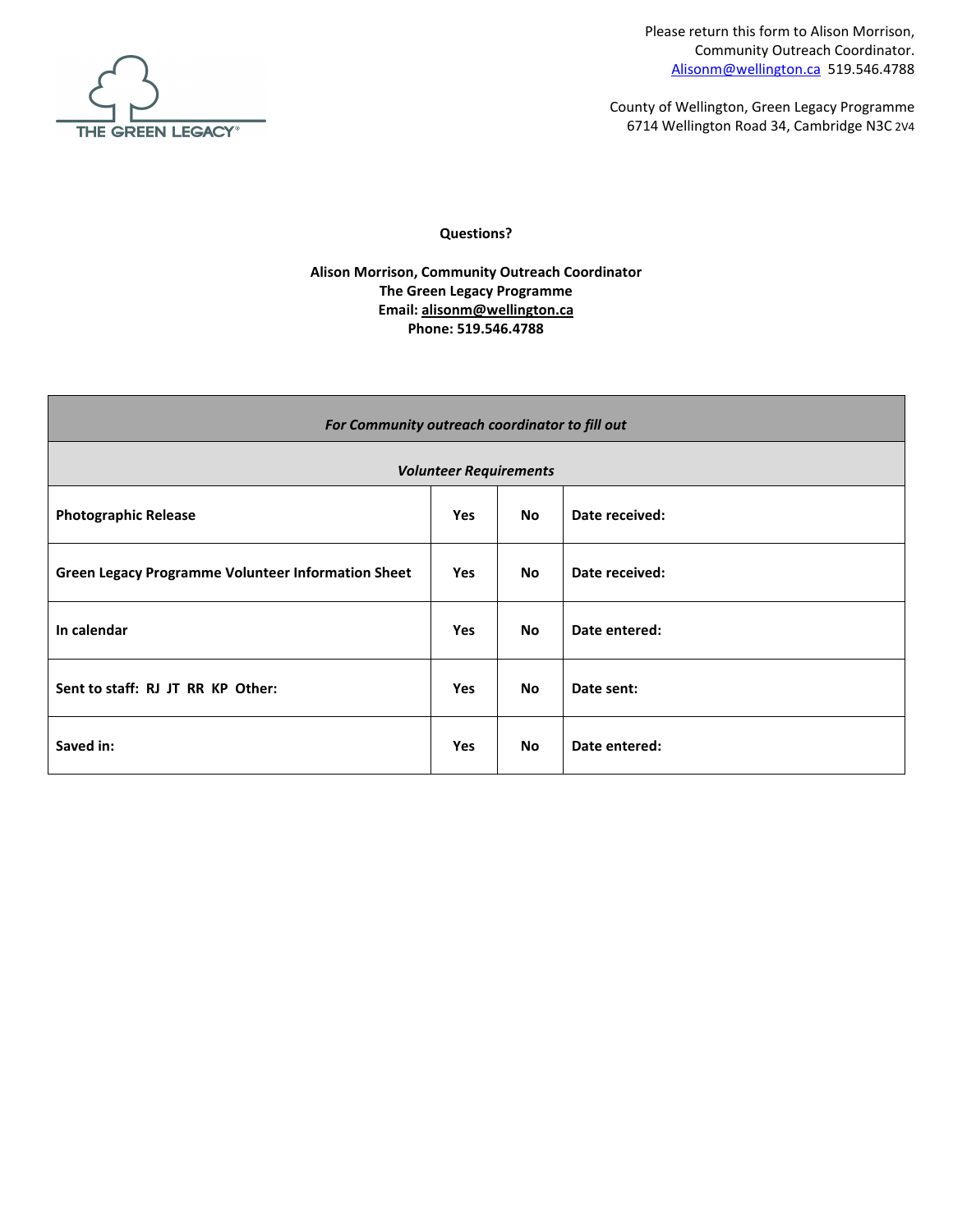

County of Wellington Green Legacy Programme 6714 Wellington Road 34 RR 22 Cambridge, ON N3C 2V4

| For Community outreach coordinator to fill out            |            |           |                |  |  |  |  |  |  |  |  |  |
|-----------------------------------------------------------|------------|-----------|----------------|--|--|--|--|--|--|--|--|--|
| <b>Volunteer Requirements</b>                             |            |           |                |  |  |  |  |  |  |  |  |  |
| <b>Photographic Release</b>                               | <b>Yes</b> | <b>No</b> | Date received: |  |  |  |  |  |  |  |  |  |
| <b>Green Legacy Programme Volunteer Information Sheet</b> | <b>Yes</b> | <b>No</b> | Date received: |  |  |  |  |  |  |  |  |  |
| In calendar                                               | <b>Yes</b> | <b>No</b> | Date entered:  |  |  |  |  |  |  |  |  |  |
| Sent to staff:                                            | <b>Yes</b> | <b>No</b> | Date sent:     |  |  |  |  |  |  |  |  |  |
| Saved in:                                                 | Yes        | <b>No</b> | Date entered:  |  |  |  |  |  |  |  |  |  |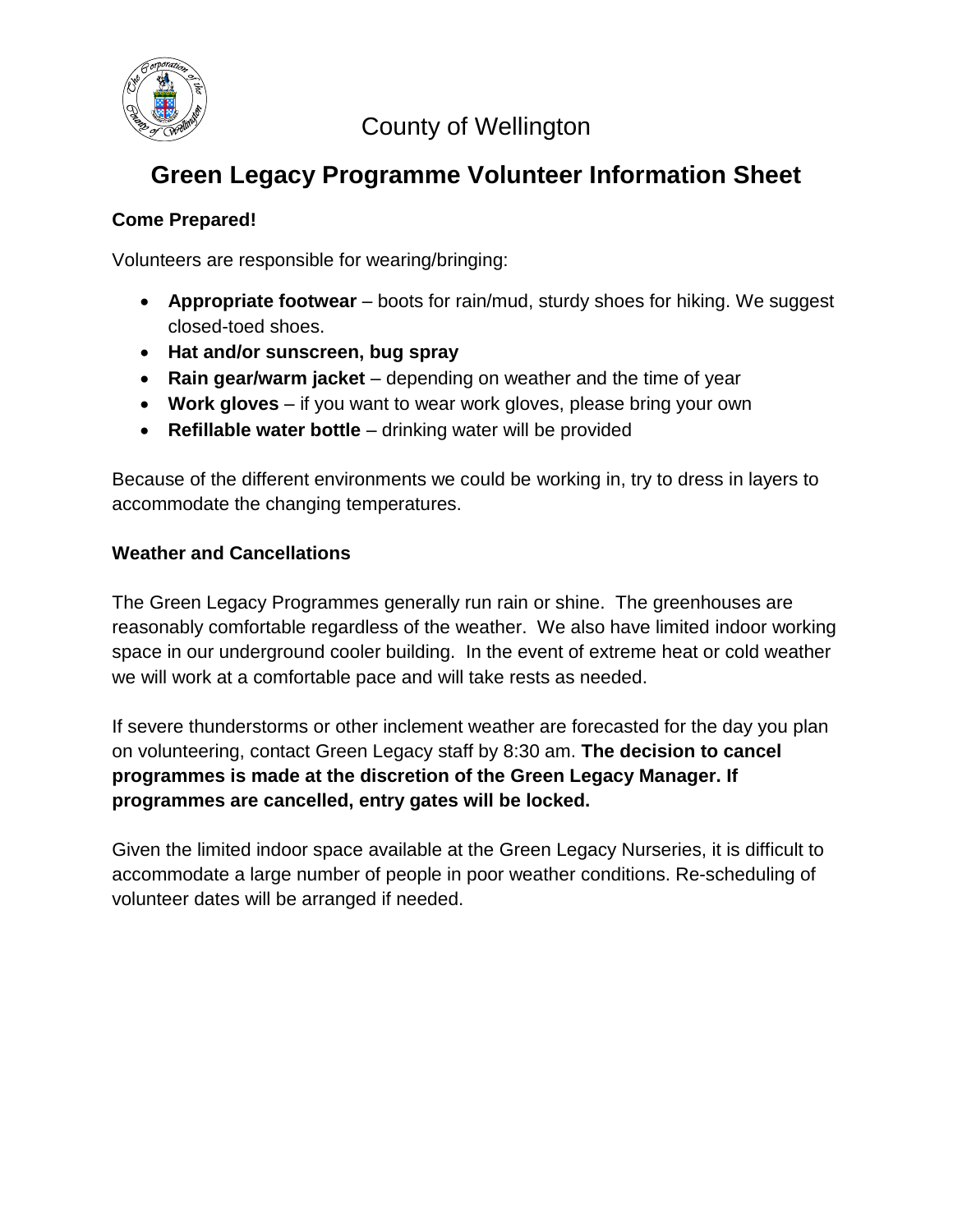}μνš}¢t οο]νΡš}ν 'ŒE » P Ç WOE}POE u u<br>òóíðio o ]v PZS}}vïð ZZ î î u Œ] P UEKEîsð

г

| Energency Information                                                                                                              |                                     |           |   |         |    |   |           |    |   |                    |  |                               |          |       |               |      |                |           |   |              |    |  |
|------------------------------------------------------------------------------------------------------------------------------------|-------------------------------------|-----------|---|---------|----|---|-----------|----|---|--------------------|--|-------------------------------|----------|-------|---------------|------|----------------|-----------|---|--------------|----|--|
| List any allergies or health concerns that w<br>know about:                                                                        |                                     |           |   |         |    |   |           |    |   |                    |  |                               |          |       |               |      |                |           |   |              |    |  |
|                                                                                                                                    | Energency Contact:                  |           |   |         |    |   |           |    |   |                    |  |                               |          |       | Relationship: |      |                |           |   |              |    |  |
| ddress:                                                                                                                            |                                     |           |   |         |    |   |           |    |   |                    |  | Min Phone:<br>Scondary Phone: |          |       |               |      |                |           |   |              |    |  |
|                                                                                                                                    |                                     |           |   |         |    |   |           |    |   | <b>Aailability</b> |  |                               |          |       |               |      |                |           |   |              |    |  |
| Please highlight days/times when you would beterested in volunteering:<br><b>@tm)</b> PM@tm<br>-p4m) 豆形m<br>$-8pm)$<br><b>飚m -</b> |                                     |           |   |         |    |   |           |    |   |                    |  |                               |          |       |               |      |                |           |   |              |    |  |
|                                                                                                                                    | Moday                               |           |   | Tuesday |    |   | Wednesday |    |   | Thursday           |  |                               |          | Fiday |               |      | <b>Sturday</b> |           |   | <b>Gnday</b> |    |  |
| M                                                                                                                                  | <b>PM</b>                           | <b>EE</b> | M | PM      | ÆΕ | M | <b>PM</b> | ÆΕ | M | <b>PM</b>          |  | <b>EE</b>                     | <b>K</b> | PM    | <b>AE</b>     | M    | PM             | <b>EE</b> | M | <b>PM</b>    | ÆΕ |  |
| <b>Sring</b><br><b>G</b> mmer<br>Atumn                                                                                             |                                     |           |   |         |    |   |           |    |   | Winter             |  |                               |          |       |               |      |                |           |   |              |    |  |
|                                                                                                                                    | Comments:                           |           |   |         |    |   |           |    |   |                    |  |                               |          |       |               |      |                |           |   |              |    |  |
| <b>G</b> nature                                                                                                                    |                                     |           |   |         |    |   |           |    |   |                    |  |                               |          |       |               |      |                |           |   |              |    |  |
| I agree to respect policies and abide by the rules regarding code of conduct within The Green Legacy Programme                     |                                     |           |   |         |    |   |           |    |   |                    |  |                               |          |       |               |      |                |           |   |              |    |  |
| I agree to ceoperate with staff andother volunteers, to follow instructions, to carry out the duties assigned to me                |                                     |           |   |         |    |   |           |    |   |                    |  |                               |          |       |               |      |                |           |   |              |    |  |
| If unable to volunteer, I will notify the Community Ctreach Coordinator as much in advance as possible                             |                                     |           |   |         |    |   |           |    |   |                    |  |                               |          |       |               |      |                |           |   |              |    |  |
|                                                                                                                                    | <b>G</b> nature of applicant:       |           |   |         |    |   |           |    |   |                    |  |                               |          |       |               | Dte: |                |           |   |              |    |  |
|                                                                                                                                    | <b>G</b> nature of parent/guardian: |           |   |         |    |   |           |    |   |                    |  |                               |          |       |               | Dte: |                |           |   |              |    |  |

**Qestions?** 

 $U D$  } $\acute{A}$  00  $W$  uu  $\rightarrow$   $A$  oo] $v P \xi$ } $v X$ d Wíõ Xð ì ì Xï ì ð ì